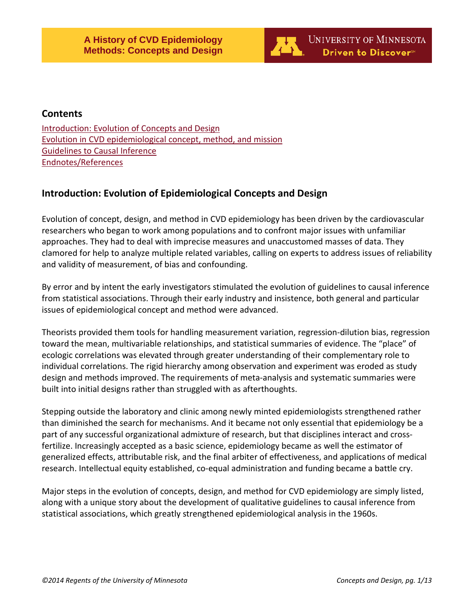

# **Contents**

[Introduction: Evolution of Concepts and Design](#page-0-0) [Evolution in CVD epidemiological concept, method, and mission](#page-1-0) [Guidelines to Causal](#page-1-1) Inference [Endnotes/References](#page-11-0)

# <span id="page-0-0"></span>**Introduction: Evolution of Epidemiological Concepts and Design**

Evolution of concept, design, and method in CVD epidemiology has been driven by the cardiovascular researchers who began to work among populations and to confront major issues with unfamiliar approaches. They had to deal with imprecise measures and unaccustomed masses of data. They clamored for help to analyze multiple related variables, calling on experts to address issues of reliability and validity of measurement, of bias and confounding.

By error and by intent the early investigators stimulated the evolution of guidelines to causal inference from statistical associations. Through their early industry and insistence, both general and particular issues of epidemiological concept and method were advanced.

Theorists provided them tools for handling measurement variation, regression-dilution bias, regression toward the mean, multivariable relationships, and statistical summaries of evidence. The "place" of ecologic correlations was elevated through greater understanding of their complementary role to individual correlations. The rigid hierarchy among observation and experiment was eroded as study design and methods improved. The requirements of meta-analysis and systematic summaries were built into initial designs rather than struggled with as afterthoughts.

Stepping outside the laboratory and clinic among newly minted epidemiologists strengthened rather than diminished the search for mechanisms. And it became not only essential that epidemiology be a part of any successful organizational admixture of research, but that disciplines interact and crossfertilize. Increasingly accepted as a basic science, epidemiology became as well the estimator of generalized effects, attributable risk, and the final arbiter of effectiveness, and applications of medical research. Intellectual equity established, co-equal administration and funding became a battle cry.

Major steps in the evolution of concepts, design, and method for CVD epidemiology are simply listed, along with a unique story about the development of qualitative guidelines to causal inference from statistical associations, which greatly strengthened epidemiological analysis in the 1960s.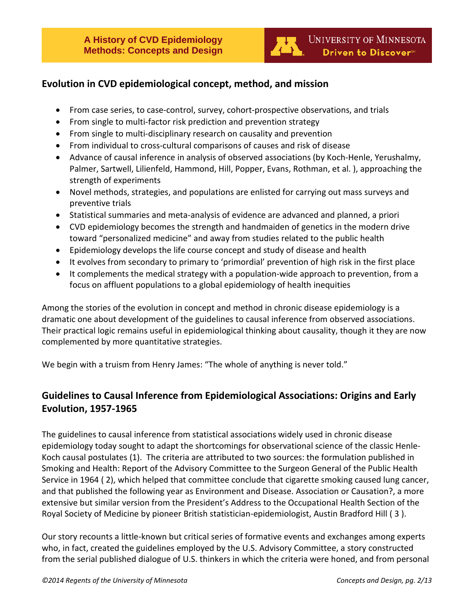

# <span id="page-1-0"></span>**Evolution in CVD epidemiological concept, method, and mission**

- From case series, to case-control, survey, cohort-prospective observations, and trials
- From single to multi-factor risk prediction and prevention strategy
- From single to multi-disciplinary research on causality and prevention
- From individual to cross-cultural comparisons of causes and risk of disease
- Advance of causal inference in analysis of observed associations (by Koch-Henle, Yerushalmy, Palmer, Sartwell, Lilienfeld, Hammond, Hill, Popper, Evans, Rothman, et al. ), approaching the strength of experiments
- Novel methods, strategies, and populations are enlisted for carrying out mass surveys and preventive trials
- Statistical summaries and meta-analysis of evidence are advanced and planned, a priori
- CVD epidemiology becomes the strength and handmaiden of genetics in the modern drive toward "personalized medicine" and away from studies related to the public health
- Epidemiology develops the life course concept and study of disease and health
- It evolves from secondary to primary to 'primordial' prevention of high risk in the first place
- It complements the medical strategy with a population-wide approach to prevention, from a focus on affluent populations to a global epidemiology of health inequities

Among the stories of the evolution in concept and method in chronic disease epidemiology is a dramatic one about development of the guidelines to causal inference from observed associations. Their practical logic remains useful in epidemiological thinking about causality, though it they are now complemented by more quantitative strategies.

<span id="page-1-1"></span>We begin with a truism from Henry James: "The whole of anything is never told."

# **Guidelines to Causal Inference from Epidemiological Associations: Origins and Early Evolution, 1957-1965**

The guidelines to causal inference from statistical associations widely used in chronic disease epidemiology today sought to adapt the shortcomings for observational science of the classic Henle-Koch causal postulates (1). The criteria are attributed to two sources: the formulation published in Smoking and Health: Report of the Advisory Committee to the Surgeon General of the Public Health Service in 1964 ( 2), which helped that committee conclude that cigarette smoking caused lung cancer, and that published the following year as Environment and Disease. Association or Causation?, a more extensive but similar version from the President's Address to the Occupational Health Section of the Royal Society of Medicine by pioneer British statistician-epidemiologist, Austin Bradford Hill ( 3 ).

Our story recounts a little-known but critical series of formative events and exchanges among experts who, in fact, created the guidelines employed by the U.S. Advisory Committee, a story constructed from the serial published dialogue of U.S. thinkers in which the criteria were honed, and from personal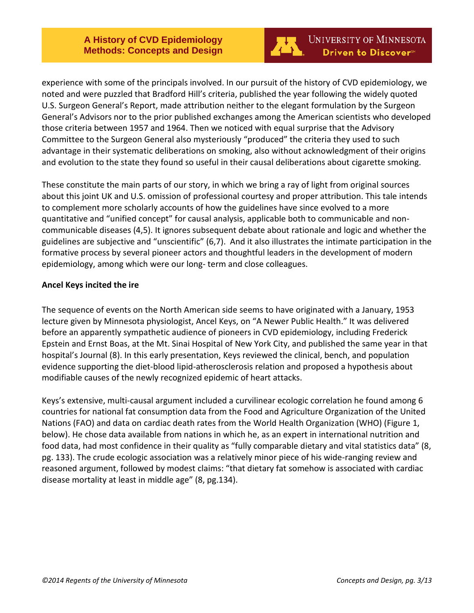

experience with some of the principals involved. In our pursuit of the history of CVD epidemiology, we noted and were puzzled that Bradford Hill's criteria, published the year following the widely quoted U.S. Surgeon General's Report, made attribution neither to the elegant formulation by the Surgeon General's Advisors nor to the prior published exchanges among the American scientists who developed those criteria between 1957 and 1964. Then we noticed with equal surprise that the Advisory Committee to the Surgeon General also mysteriously "produced" the criteria they used to such advantage in their systematic deliberations on smoking, also without acknowledgment of their origins and evolution to the state they found so useful in their causal deliberations about cigarette smoking.

These constitute the main parts of our story, in which we bring a ray of light from original sources about this joint UK and U.S. omission of professional courtesy and proper attribution. This tale intends to complement more scholarly accounts of how the guidelines have since evolved to a more quantitative and "unified concept" for causal analysis, applicable both to communicable and noncommunicable diseases (4,5). It ignores subsequent debate about rationale and logic and whether the guidelines are subjective and "unscientific" (6,7). And it also illustrates the intimate participation in the formative process by several pioneer actors and thoughtful leaders in the development of modern epidemiology, among which were our long- term and close colleagues.

## **Ancel Keys incited the ire**

The sequence of events on the North American side seems to have originated with a January, 1953 lecture given by Minnesota physiologist, Ancel Keys, on "A Newer Public Health." It was delivered before an apparently sympathetic audience of pioneers in CVD epidemiology, including Frederick Epstein and Ernst Boas, at the Mt. Sinai Hospital of New York City, and published the same year in that hospital's Journal (8). In this early presentation, Keys reviewed the clinical, bench, and population evidence supporting the diet-blood lipid-atherosclerosis relation and proposed a hypothesis about modifiable causes of the newly recognized epidemic of heart attacks.

Keys's extensive, multi-causal argument included a curvilinear ecologic correlation he found among 6 countries for national fat consumption data from the Food and Agriculture Organization of the United Nations (FAO) and data on cardiac death rates from the World Health Organization (WHO) (Figure 1, below). He chose data available from nations in which he, as an expert in international nutrition and food data, had most confidence in their quality as "fully comparable dietary and vital statistics data" (8, pg. 133). The crude ecologic association was a relatively minor piece of his wide-ranging review and reasoned argument, followed by modest claims: "that dietary fat somehow is associated with cardiac disease mortality at least in middle age" (8, pg.134).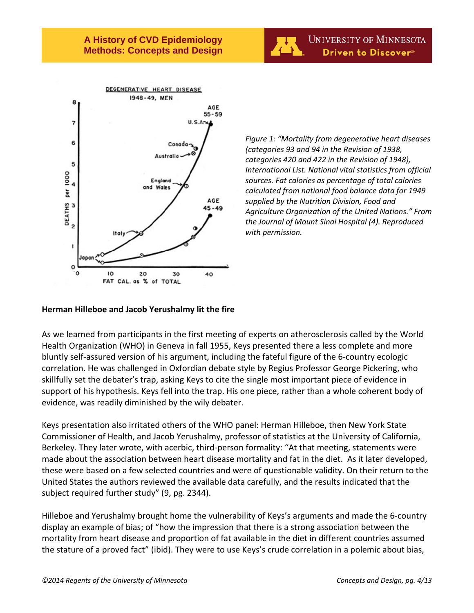



*Figure 1: "Mortality from degenerative heart diseases (categories 93 and 94 in the Revision of 1938, categories 420 and 422 in the Revision of 1948), International List. National vital statistics from official sources. Fat calories as percentage of total calories calculated from national food balance data for 1949 supplied by the Nutrition Division, Food and Agriculture Organization of the United Nations." From the Journal of Mount Sinai Hospital (4). Reproduced with permission.*

## **Herman Hilleboe and Jacob Yerushalmy lit the fire**

As we learned from participants in the first meeting of experts on atherosclerosis called by the World Health Organization (WHO) in Geneva in fall 1955, Keys presented there a less complete and more bluntly self-assured version of his argument, including the fateful figure of the 6-country ecologic correlation. He was challenged in Oxfordian debate style by Regius Professor George Pickering, who skillfully set the debater's trap, asking Keys to cite the single most important piece of evidence in support of his hypothesis. Keys fell into the trap. His one piece, rather than a whole coherent body of evidence, was readily diminished by the wily debater.

Keys presentation also irritated others of the WHO panel: Herman Hilleboe, then New York State Commissioner of Health, and Jacob Yerushalmy, professor of statistics at the University of California, Berkeley. They later wrote, with acerbic, third-person formality: "At that meeting, statements were made about the association between heart disease mortality and fat in the diet. As it later developed, these were based on a few selected countries and were of questionable validity. On their return to the United States the authors reviewed the available data carefully, and the results indicated that the subject required further study" (9, pg. 2344).

Hilleboe and Yerushalmy brought home the vulnerability of Keys's arguments and made the 6-country display an example of bias; of "how the impression that there is a strong association between the mortality from heart disease and proportion of fat available in the diet in different countries assumed the stature of a proved fact" (ibid). They were to use Keys's crude correlation in a polemic about bias,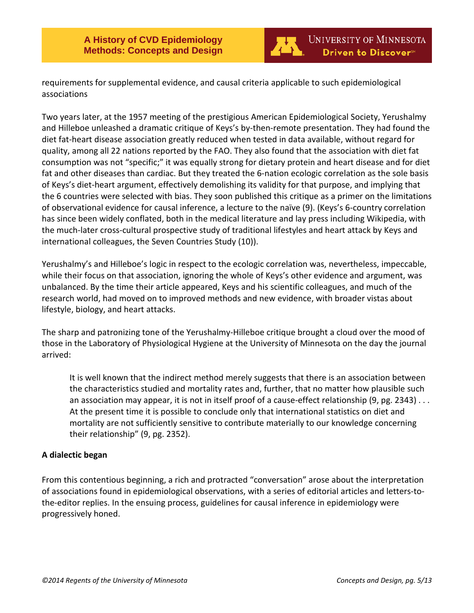

requirements for supplemental evidence, and causal criteria applicable to such epidemiological associations

Two years later, at the 1957 meeting of the prestigious American Epidemiological Society, Yerushalmy and Hilleboe unleashed a dramatic critique of Keys's by-then-remote presentation. They had found the diet fat-heart disease association greatly reduced when tested in data available, without regard for quality, among all 22 nations reported by the FAO. They also found that the association with diet fat consumption was not "specific;" it was equally strong for dietary protein and heart disease and for diet fat and other diseases than cardiac. But they treated the 6-nation ecologic correlation as the sole basis of Keys's diet-heart argument, effectively demolishing its validity for that purpose, and implying that the 6 countries were selected with bias. They soon published this critique as a primer on the limitations of observational evidence for causal inference, a lecture to the naïve (9). (Keys's 6-country correlation has since been widely conflated, both in the medical literature and lay press including Wikipedia, with the much-later cross-cultural prospective study of traditional lifestyles and heart attack by Keys and international colleagues, the Seven Countries Study (10)).

Yerushalmy's and Hilleboe's logic in respect to the ecologic correlation was, nevertheless, impeccable, while their focus on that association, ignoring the whole of Keys's other evidence and argument, was unbalanced. By the time their article appeared, Keys and his scientific colleagues, and much of the research world, had moved on to improved methods and new evidence, with broader vistas about lifestyle, biology, and heart attacks.

The sharp and patronizing tone of the Yerushalmy-Hilleboe critique brought a cloud over the mood of those in the Laboratory of Physiological Hygiene at the University of Minnesota on the day the journal arrived:

It is well known that the indirect method merely suggests that there is an association between the characteristics studied and mortality rates and, further, that no matter how plausible such an association may appear, it is not in itself proof of a cause-effect relationship (9, pg. 2343) . . . At the present time it is possible to conclude only that international statistics on diet and mortality are not sufficiently sensitive to contribute materially to our knowledge concerning their relationship" (9, pg. 2352).

# **A dialectic began**

From this contentious beginning, a rich and protracted "conversation" arose about the interpretation of associations found in epidemiological observations, with a series of editorial articles and letters-tothe-editor replies. In the ensuing process, guidelines for causal inference in epidemiology were progressively honed.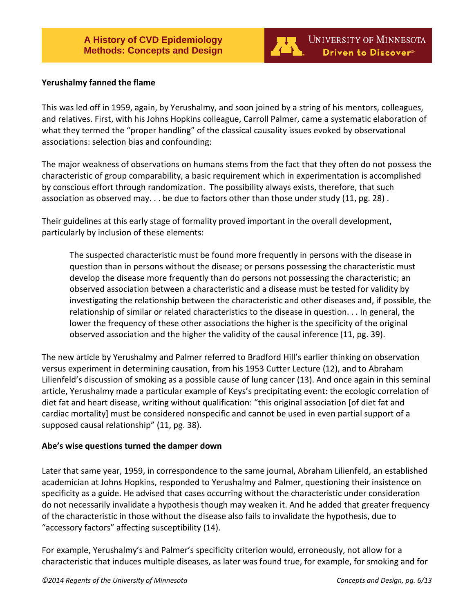

## **Yerushalmy fanned the flame**

This was led off in 1959, again, by Yerushalmy, and soon joined by a string of his mentors, colleagues, and relatives. First, with his Johns Hopkins colleague, Carroll Palmer, came a systematic elaboration of what they termed the "proper handling" of the classical causality issues evoked by observational associations: selection bias and confounding:

The major weakness of observations on humans stems from the fact that they often do not possess the characteristic of group comparability, a basic requirement which in experimentation is accomplished by conscious effort through randomization. The possibility always exists, therefore, that such association as observed may. . . be due to factors other than those under study (11, pg. 28) .

Their guidelines at this early stage of formality proved important in the overall development, particularly by inclusion of these elements:

The suspected characteristic must be found more frequently in persons with the disease in question than in persons without the disease; or persons possessing the characteristic must develop the disease more frequently than do persons not possessing the characteristic; an observed association between a characteristic and a disease must be tested for validity by investigating the relationship between the characteristic and other diseases and, if possible, the relationship of similar or related characteristics to the disease in question. . . In general, the lower the frequency of these other associations the higher is the specificity of the original observed association and the higher the validity of the causal inference (11, pg. 39).

The new article by Yerushalmy and Palmer referred to Bradford Hill's earlier thinking on observation versus experiment in determining causation, from his 1953 Cutter Lecture (12), and to Abraham Lilienfeld's discussion of smoking as a possible cause of lung cancer (13). And once again in this seminal article, Yerushalmy made a particular example of Keys's precipitating event: the ecologic correlation of diet fat and heart disease, writing without qualification: "this original association [of diet fat and cardiac mortality] must be considered nonspecific and cannot be used in even partial support of a supposed causal relationship" (11, pg. 38).

# **Abe's wise questions turned the damper down**

Later that same year, 1959, in correspondence to the same journal, Abraham Lilienfeld, an established academician at Johns Hopkins, responded to Yerushalmy and Palmer, questioning their insistence on specificity as a guide. He advised that cases occurring without the characteristic under consideration do not necessarily invalidate a hypothesis though may weaken it. And he added that greater frequency of the characteristic in those without the disease also fails to invalidate the hypothesis, due to "accessory factors" affecting susceptibility (14).

For example, Yerushalmy's and Palmer's specificity criterion would, erroneously, not allow for a characteristic that induces multiple diseases, as later was found true, for example, for smoking and for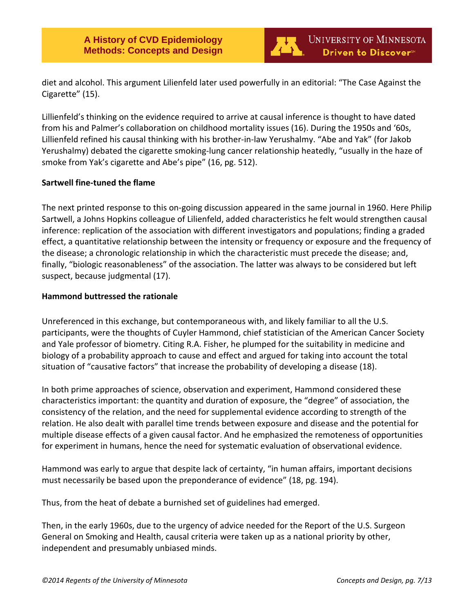

diet and alcohol. This argument Lilienfeld later used powerfully in an editorial: "The Case Against the Cigarette" (15).

Lillienfeld's thinking on the evidence required to arrive at causal inference is thought to have dated from his and Palmer's collaboration on childhood mortality issues (16). During the 1950s and '60s, Lillienfeld refined his causal thinking with his brother-in-law Yerushalmy. "Abe and Yak" (for Jakob Yerushalmy) debated the cigarette smoking-lung cancer relationship heatedly, "usually in the haze of smoke from Yak's cigarette and Abe's pipe" (16, pg. 512).

# **Sartwell fine-tuned the flame**

The next printed response to this on-going discussion appeared in the same journal in 1960. Here Philip Sartwell, a Johns Hopkins colleague of Lilienfeld, added characteristics he felt would strengthen causal inference: replication of the association with different investigators and populations; finding a graded effect, a quantitative relationship between the intensity or frequency or exposure and the frequency of the disease; a chronologic relationship in which the characteristic must precede the disease; and, finally, "biologic reasonableness" of the association. The latter was always to be considered but left suspect, because judgmental (17).

## **Hammond buttressed the rationale**

Unreferenced in this exchange, but contemporaneous with, and likely familiar to all the U.S. participants, were the thoughts of Cuyler Hammond, chief statistician of the American Cancer Society and Yale professor of biometry. Citing R.A. Fisher, he plumped for the suitability in medicine and biology of a probability approach to cause and effect and argued for taking into account the total situation of "causative factors" that increase the probability of developing a disease (18).

In both prime approaches of science, observation and experiment, Hammond considered these characteristics important: the quantity and duration of exposure, the "degree" of association, the consistency of the relation, and the need for supplemental evidence according to strength of the relation. He also dealt with parallel time trends between exposure and disease and the potential for multiple disease effects of a given causal factor. And he emphasized the remoteness of opportunities for experiment in humans, hence the need for systematic evaluation of observational evidence.

Hammond was early to argue that despite lack of certainty, "in human affairs, important decisions must necessarily be based upon the preponderance of evidence" (18, pg. 194).

Thus, from the heat of debate a burnished set of guidelines had emerged.

Then, in the early 1960s, due to the urgency of advice needed for the Report of the U.S. Surgeon General on Smoking and Health, causal criteria were taken up as a national priority by other, independent and presumably unbiased minds.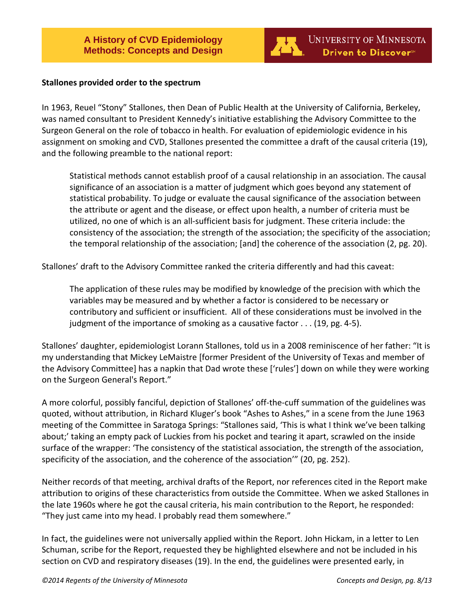

#### **Stallones provided order to the spectrum**

In 1963, Reuel "Stony" Stallones, then Dean of Public Health at the University of California, Berkeley, was named consultant to President Kennedy's initiative establishing the Advisory Committee to the Surgeon General on the role of tobacco in health. For evaluation of epidemiologic evidence in his assignment on smoking and CVD, Stallones presented the committee a draft of the causal criteria (19), and the following preamble to the national report:

Statistical methods cannot establish proof of a causal relationship in an association. The causal significance of an association is a matter of judgment which goes beyond any statement of statistical probability. To judge or evaluate the causal significance of the association between the attribute or agent and the disease, or effect upon health, a number of criteria must be utilized, no one of which is an all-sufficient basis for judgment. These criteria include: the consistency of the association; the strength of the association; the specificity of the association; the temporal relationship of the association; [and] the coherence of the association (2, pg. 20).

Stallones' draft to the Advisory Committee ranked the criteria differently and had this caveat:

The application of these rules may be modified by knowledge of the precision with which the variables may be measured and by whether a factor is considered to be necessary or contributory and sufficient or insufficient. All of these considerations must be involved in the judgment of the importance of smoking as a causative factor . . . (19, pg. 4-5).

Stallones' daughter, epidemiologist Lorann Stallones, told us in a 2008 reminiscence of her father: "It is my understanding that Mickey LeMaistre [former President of the University of Texas and member of the Advisory Committee] has a napkin that Dad wrote these ['rules'] down on while they were working on the Surgeon General's Report."

A more colorful, possibly fanciful, depiction of Stallones' off-the-cuff summation of the guidelines was quoted, without attribution, in Richard Kluger's book "Ashes to Ashes," in a scene from the June 1963 meeting of the Committee in Saratoga Springs: "Stallones said, 'This is what I think we've been talking about;' taking an empty pack of Luckies from his pocket and tearing it apart, scrawled on the inside surface of the wrapper: 'The consistency of the statistical association, the strength of the association, specificity of the association, and the coherence of the association'" (20, pg. 252).

Neither records of that meeting, archival drafts of the Report, nor references cited in the Report make attribution to origins of these characteristics from outside the Committee. When we asked Stallones in the late 1960s where he got the causal criteria, his main contribution to the Report, he responded: "They just came into my head. I probably read them somewhere."

In fact, the guidelines were not universally applied within the Report. John Hickam, in a letter to Len Schuman, scribe for the Report, requested they be highlighted elsewhere and not be included in his section on CVD and respiratory diseases (19). In the end, the guidelines were presented early, in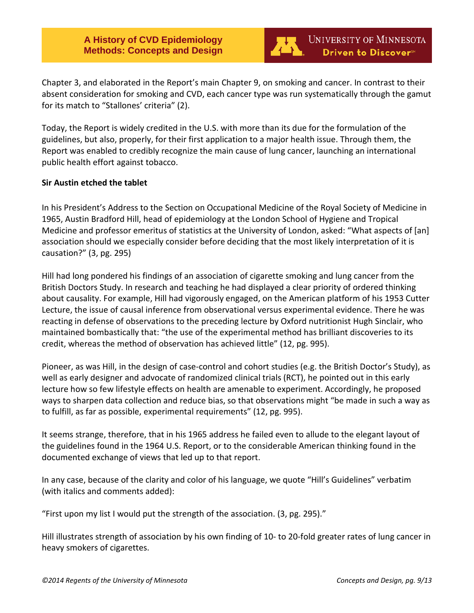**A History of CVD Epidemiology Methods: Concepts and Design**



Chapter 3, and elaborated in the Report's main Chapter 9, on smoking and cancer. In contrast to their absent consideration for smoking and CVD, each cancer type was run systematically through the gamut for its match to "Stallones' criteria" (2).

Today, the Report is widely credited in the U.S. with more than its due for the formulation of the guidelines, but also, properly, for their first application to a major health issue. Through them, the Report was enabled to credibly recognize the main cause of lung cancer, launching an international public health effort against tobacco.

## **Sir Austin etched the tablet**

In his President's Address to the Section on Occupational Medicine of the Royal Society of Medicine in 1965, Austin Bradford Hill, head of epidemiology at the London School of Hygiene and Tropical Medicine and professor emeritus of statistics at the University of London, asked: "What aspects of [an] association should we especially consider before deciding that the most likely interpretation of it is causation?" (3, pg. 295)

Hill had long pondered his findings of an association of cigarette smoking and lung cancer from the British Doctors Study. In research and teaching he had displayed a clear priority of ordered thinking about causality. For example, Hill had vigorously engaged, on the American platform of his 1953 Cutter Lecture, the issue of causal inference from observational versus experimental evidence. There he was reacting in defense of observations to the preceding lecture by Oxford nutritionist Hugh Sinclair, who maintained bombastically that: "the use of the experimental method has brilliant discoveries to its credit, whereas the method of observation has achieved little" (12, pg. 995).

Pioneer, as was Hill, in the design of case-control and cohort studies (e.g. the British Doctor's Study), as well as early designer and advocate of randomized clinical trials (RCT), he pointed out in this early lecture how so few lifestyle effects on health are amenable to experiment. Accordingly, he proposed ways to sharpen data collection and reduce bias, so that observations might "be made in such a way as to fulfill, as far as possible, experimental requirements" (12, pg. 995).

It seems strange, therefore, that in his 1965 address he failed even to allude to the elegant layout of the guidelines found in the 1964 U.S. Report, or to the considerable American thinking found in the documented exchange of views that led up to that report.

In any case, because of the clarity and color of his language, we quote "Hill's Guidelines" verbatim (with italics and comments added):

"First upon my list I would put the strength of the association. (3, pg. 295)."

Hill illustrates strength of association by his own finding of 10- to 20-fold greater rates of lung cancer in heavy smokers of cigarettes.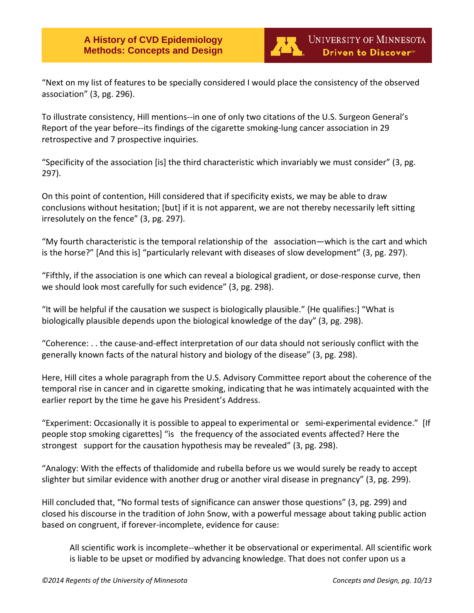

"Next on my list of features to be specially considered I would place the consistency of the observed association" (3, pg. 296).

To illustrate consistency, Hill mentions--in one of only two citations of the U.S. Surgeon General's Report of the year before--its findings of the cigarette smoking-lung cancer association in 29 retrospective and 7 prospective inquiries.

"Specificity of the association [is] the third characteristic which invariably we must consider" (3, pg. 297).

On this point of contention, Hill considered that if specificity exists, we may be able to draw conclusions without hesitation; [but] if it is not apparent, we are not thereby necessarily left sitting irresolutely on the fence" (3, pg. 297).

"My fourth characteristic is the temporal relationship of the association—which is the cart and which is the horse?" [And this is] "particularly relevant with diseases of slow development" (3, pg. 297).

"Fifthly, if the association is one which can reveal a biological gradient, or dose-response curve, then we should look most carefully for such evidence" (3, pg. 298).

"It will be helpful if the causation we suspect is biologically plausible." {He qualifies:] "What is biologically plausible depends upon the biological knowledge of the day" (3, pg. 298).

"Coherence: . . the cause-and-effect interpretation of our data should not seriously conflict with the generally known facts of the natural history and biology of the disease" (3, pg. 298).

Here, Hill cites a whole paragraph from the U.S. Advisory Committee report about the coherence of the temporal rise in cancer and in cigarette smoking, indicating that he was intimately acquainted with the earlier report by the time he gave his President's Address.

"Experiment: Occasionally it is possible to appeal to experimental or semi-experimental evidence." [If people stop smoking cigarettes] "is the frequency of the associated events affected? Here the strongest support for the causation hypothesis may be revealed" (3, pg. 298).

"Analogy: With the effects of thalidomide and rubella before us we would surely be ready to accept slighter but similar evidence with another drug or another viral disease in pregnancy" (3, pg. 299).

Hill concluded that, "No formal tests of significance can answer those questions" (3, pg. 299) and closed his discourse in the tradition of John Snow, with a powerful message about taking public action based on congruent, if forever-incomplete, evidence for cause:

All scientific work is incomplete--whether it be observational or experimental. All scientific work is liable to be upset or modified by advancing knowledge. That does not confer upon us a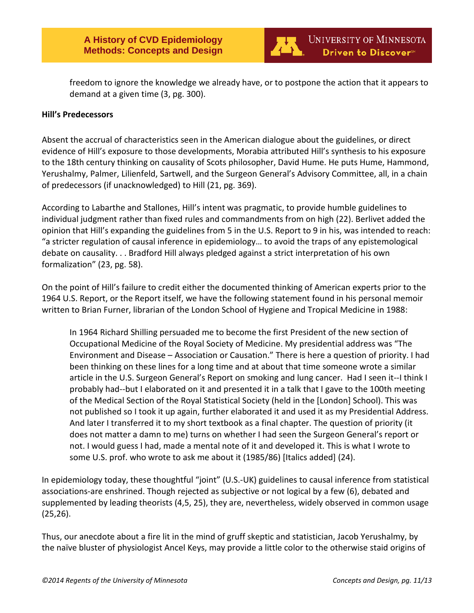

freedom to ignore the knowledge we already have, or to postpone the action that it appears to demand at a given time (3, pg. 300).

## **Hill's Predecessors**

Absent the accrual of characteristics seen in the American dialogue about the guidelines, or direct evidence of Hill's exposure to those developments, Morabia attributed Hill's synthesis to his exposure to the 18th century thinking on causality of Scots philosopher, David Hume. He puts Hume, Hammond, Yerushalmy, Palmer, Lilienfeld, Sartwell, and the Surgeon General's Advisory Committee, all, in a chain of predecessors (if unacknowledged) to Hill (21, pg. 369).

According to Labarthe and Stallones, Hill's intent was pragmatic, to provide humble guidelines to individual judgment rather than fixed rules and commandments from on high (22). Berlivet added the opinion that Hill's expanding the guidelines from 5 in the U.S. Report to 9 in his, was intended to reach: "a stricter regulation of causal inference in epidemiology… to avoid the traps of any epistemological debate on causality. . . Bradford Hill always pledged against a strict interpretation of his own formalization" (23, pg. 58).

On the point of Hill's failure to credit either the documented thinking of American experts prior to the 1964 U.S. Report, or the Report itself, we have the following statement found in his personal memoir written to Brian Furner, librarian of the London School of Hygiene and Tropical Medicine in 1988:

In 1964 Richard Shilling persuaded me to become the first President of the new section of Occupational Medicine of the Royal Society of Medicine. My presidential address was "The Environment and Disease – Association or Causation." There is here a question of priority. I had been thinking on these lines for a long time and at about that time someone wrote a similar article in the U.S. Surgeon General's Report on smoking and lung cancer. Had I seen it--I think I probably had--but I elaborated on it and presented it in a talk that I gave to the 100th meeting of the Medical Section of the Royal Statistical Society (held in the [London] School). This was not published so I took it up again, further elaborated it and used it as my Presidential Address. And later I transferred it to my short textbook as a final chapter. The question of priority (it does not matter a damn to me) turns on whether I had seen the Surgeon General's report or not. I would guess I had, made a mental note of it and developed it. This is what I wrote to some U.S. prof. who wrote to ask me about it (1985/86) [Italics added] (24).

In epidemiology today, these thoughtful "joint" (U.S.-UK) guidelines to causal inference from statistical associations-are enshrined. Though rejected as subjective or not logical by a few (6), debated and supplemented by leading theorists (4,5, 25), they are, nevertheless, widely observed in common usage (25,26).

Thus, our anecdote about a fire lit in the mind of gruff skeptic and statistician, Jacob Yerushalmy, by the naïve bluster of physiologist Ancel Keys, may provide a little color to the otherwise staid origins of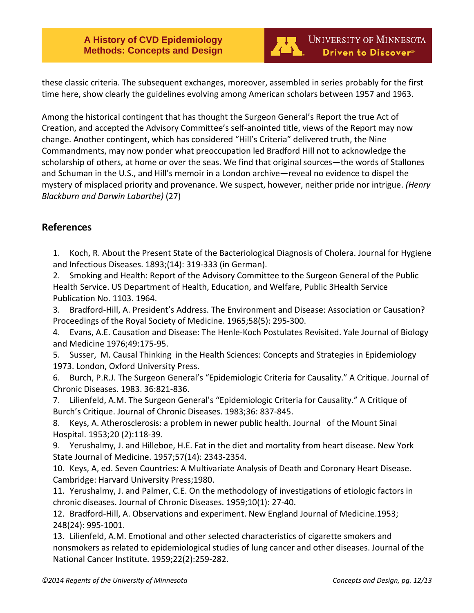

these classic criteria. The subsequent exchanges, moreover, assembled in series probably for the first time here, show clearly the guidelines evolving among American scholars between 1957 and 1963.

Among the historical contingent that has thought the Surgeon General's Report the true Act of Creation, and accepted the Advisory Committee's self-anointed title, views of the Report may now change. Another contingent, which has considered "Hill's Criteria" delivered truth, the Nine Commandments, may now ponder what preoccupation led Bradford Hill not to acknowledge the scholarship of others, at home or over the seas. We find that original sources—the words of Stallones and Schuman in the U.S., and Hill's memoir in a London archive—reveal no evidence to dispel the mystery of misplaced priority and provenance. We suspect, however, neither pride nor intrigue. *(Henry Blackburn and Darwin Labarthe)* (27)

# <span id="page-11-0"></span>**References**

1. Koch, R. About the Present State of the Bacteriological Diagnosis of Cholera. Journal for Hygiene and Infectious Diseases. 1893;(14): 319-333 (in German).

2. Smoking and Health: Report of the Advisory Committee to the Surgeon General of the Public Health Service. US Department of Health, Education, and Welfare, Public 3Health Service Publication No. 1103. 1964.

3. Bradford-Hill, A. President's Address. The Environment and Disease: Association or Causation? Proceedings of the Royal Society of Medicine. 1965;58(5): 295-300.

4. Evans, A.E. Causation and Disease: The Henle-Koch Postulates Revisited. Yale Journal of Biology and Medicine 1976;49:175-95.

5. Susser, M. Causal Thinking in the Health Sciences: Concepts and Strategies in Epidemiology 1973. London, Oxford University Press.

6. Burch, P.R.J. The Surgeon General's "Epidemiologic Criteria for Causality." A Critique. Journal of Chronic Diseases. 1983. 36:821-836.

7. Lilienfeld, A.M. The Surgeon General's "Epidemiologic Criteria for Causality." A Critique of Burch's Critique. Journal of Chronic Diseases. 1983;36: 837-845.

8. Keys, A. Atherosclerosis: a problem in newer public health. Journal of the Mount Sinai Hospital. 1953;20 (2):118-39.

9. Yerushalmy, J. and Hilleboe, H.E. Fat in the diet and mortality from heart disease. New York State Journal of Medicine. 1957;57(14): 2343-2354.

10. Keys, A, ed. Seven Countries: A Multivariate Analysis of Death and Coronary Heart Disease. Cambridge: Harvard University Press;1980.

11. Yerushalmy, J. and Palmer, C.E. On the methodology of investigations of etiologic factors in chronic diseases. Journal of Chronic Diseases. 1959;10(1): 27-40.

12. Bradford-Hill, A. Observations and experiment. New England Journal of Medicine.1953; 248(24): 995-1001.

13. Lilienfeld, A.M. Emotional and other selected characteristics of cigarette smokers and nonsmokers as related to epidemiological studies of lung cancer and other diseases. Journal of the National Cancer Institute. 1959;22(2):259-282.